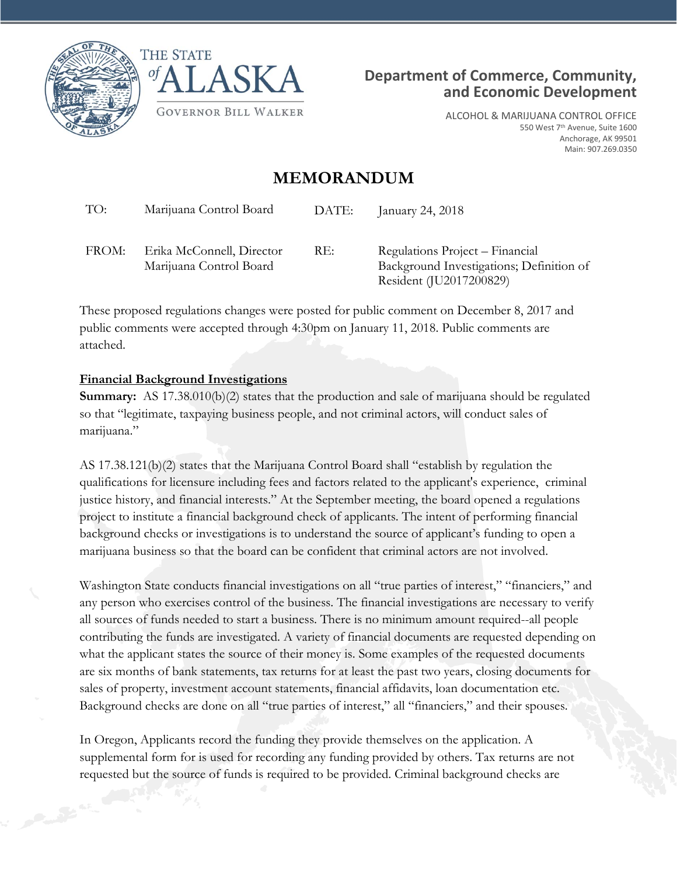





ALCOHOL & MARIJUANA CONTROL OFFICE 550 West 7<sup>th</sup> Avenue, Suite 1600 Anchorage, AK 99501 Main: 907.269.0350

## **MEMORANDUM**

| TO:   | Marijuana Control Board                              | DATE: | January 24, 2018                                                                                       |
|-------|------------------------------------------------------|-------|--------------------------------------------------------------------------------------------------------|
| FROM: | Erika McConnell, Director<br>Marijuana Control Board | RE:   | Regulations Project – Financial<br>Background Investigations; Definition of<br>Resident (JU2017200829) |

These proposed regulations changes were posted for public comment on December 8, 2017 and public comments were accepted through 4:30pm on January 11, 2018. Public comments are attached.

## **Financial Background Investigations**

**Summary:** AS 17.38.010(b)(2) states that the production and sale of marijuana should be regulated so that "legitimate, taxpaying business people, and not criminal actors, will conduct sales of marijuana."

AS 17.38.121(b)(2) states that the Marijuana Control Board shall "establish by regulation the qualifications for licensure including fees and factors related to the applicant's experience, criminal justice history, and financial interests." At the September meeting, the board opened a regulations project to institute a financial background check of applicants. The intent of performing financial background checks or investigations is to understand the source of applicant's funding to open a marijuana business so that the board can be confident that criminal actors are not involved.

Washington State conducts financial investigations on all "true parties of interest," "financiers," and any person who exercises control of the business. The financial investigations are necessary to verify all sources of funds needed to start a business. There is no minimum amount required--all people contributing the funds are investigated. A variety of financial documents are requested depending on what the applicant states the source of their money is. Some examples of the requested documents are six months of bank statements, tax returns for at least the past two years, closing documents for sales of property, investment account statements, financial affidavits, loan documentation etc. Background checks are done on all "true parties of interest," all "financiers," and their spouses.

In Oregon, Applicants record the funding they provide themselves on the application. A supplemental form for is used for recording any funding provided by others. Tax returns are not requested but the source of funds is required to be provided. Criminal background checks are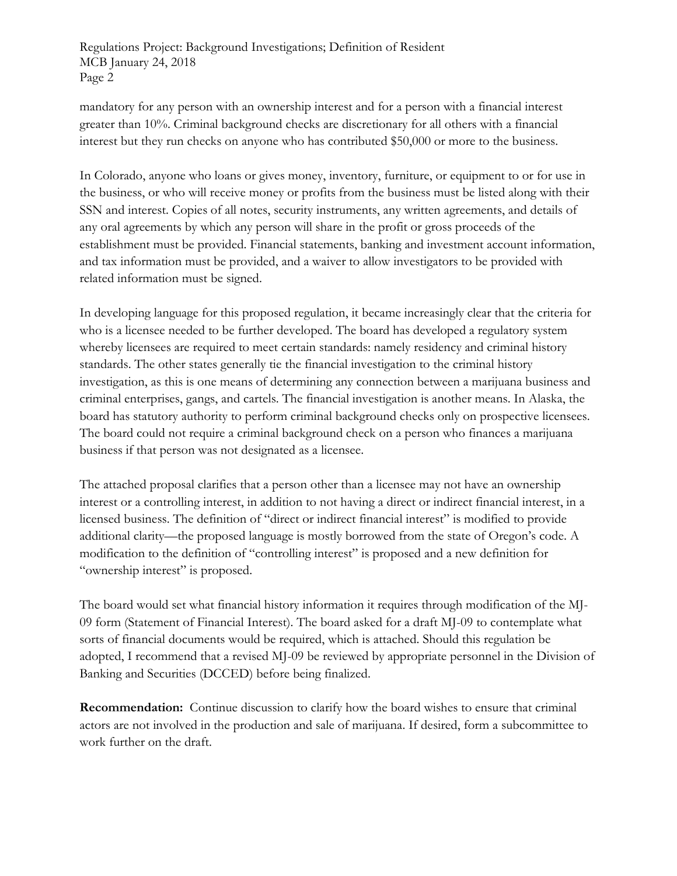Regulations Project: Background Investigations; Definition of Resident MCB January 24, 2018 Page 2

mandatory for any person with an ownership interest and for a person with a financial interest greater than 10%. Criminal background checks are discretionary for all others with a financial interest but they run checks on anyone who has contributed \$50,000 or more to the business.

In Colorado, anyone who loans or gives money, inventory, furniture, or equipment to or for use in the business, or who will receive money or profits from the business must be listed along with their SSN and interest. Copies of all notes, security instruments, any written agreements, and details of any oral agreements by which any person will share in the profit or gross proceeds of the establishment must be provided. Financial statements, banking and investment account information, and tax information must be provided, and a waiver to allow investigators to be provided with related information must be signed.

In developing language for this proposed regulation, it became increasingly clear that the criteria for who is a licensee needed to be further developed. The board has developed a regulatory system whereby licensees are required to meet certain standards: namely residency and criminal history standards. The other states generally tie the financial investigation to the criminal history investigation, as this is one means of determining any connection between a marijuana business and criminal enterprises, gangs, and cartels. The financial investigation is another means. In Alaska, the board has statutory authority to perform criminal background checks only on prospective licensees. The board could not require a criminal background check on a person who finances a marijuana business if that person was not designated as a licensee.

The attached proposal clarifies that a person other than a licensee may not have an ownership interest or a controlling interest, in addition to not having a direct or indirect financial interest, in a licensed business. The definition of "direct or indirect financial interest" is modified to provide additional clarity—the proposed language is mostly borrowed from the state of Oregon's code. A modification to the definition of "controlling interest" is proposed and a new definition for "ownership interest" is proposed.

The board would set what financial history information it requires through modification of the MJ-09 form (Statement of Financial Interest). The board asked for a draft MJ-09 to contemplate what sorts of financial documents would be required, which is attached. Should this regulation be adopted, I recommend that a revised MJ-09 be reviewed by appropriate personnel in the Division of Banking and Securities (DCCED) before being finalized.

**Recommendation:** Continue discussion to clarify how the board wishes to ensure that criminal actors are not involved in the production and sale of marijuana. If desired, form a subcommittee to work further on the draft.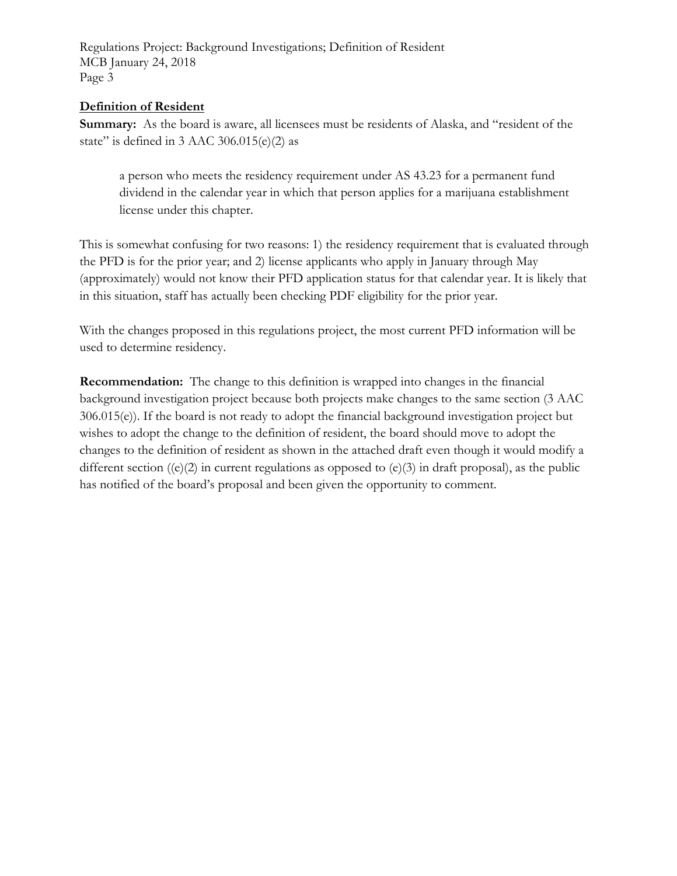Regulations Project: Background Investigations; Definition of Resident MCB January 24, 2018 Page 3

## **Definition of Resident**

**Summary:** As the board is aware, all licensees must be residents of Alaska, and "resident of the state" is defined in  $3$  AAC  $306.015(e)(2)$  as

a person who meets the residency requirement under AS 43.23 for a permanent fund dividend in the calendar year in which that person applies for a marijuana establishment license under this chapter.

This is somewhat confusing for two reasons: 1) the residency requirement that is evaluated through the PFD is for the prior year; and 2) license applicants who apply in January through May (approximately) would not know their PFD application status for that calendar year. It is likely that in this situation, staff has actually been checking PDF eligibility for the prior year.

With the changes proposed in this regulations project, the most current PFD information will be used to determine residency.

**Recommendation:** The change to this definition is wrapped into changes in the financial background investigation project because both projects make changes to the same section (3 AAC 306.015(e)). If the board is not ready to adopt the financial background investigation project but wishes to adopt the change to the definition of resident, the board should move to adopt the changes to the definition of resident as shown in the attached draft even though it would modify a different section ((e)(2) in current regulations as opposed to (e)(3) in draft proposal), as the public has notified of the board's proposal and been given the opportunity to comment.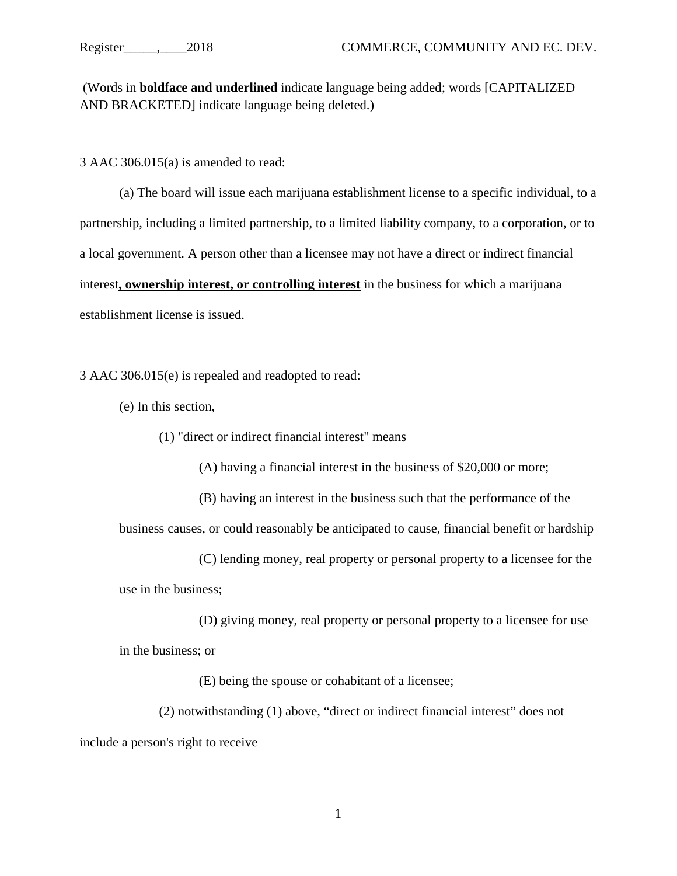(Words in **boldface and underlined** indicate language being added; words [CAPITALIZED AND BRACKETED] indicate language being deleted.)

3 AAC 306.015(a) is amended to read:

(a) The board will issue each marijuana establishment license to a specific individual, to a partnership, including a limited partnership, to a limited liability company, to a corporation, or to a local government. A person other than a licensee may not have a direct or indirect financial interest**, ownership interest, or controlling interest** in the business for which a marijuana establishment license is issued.

3 AAC 306.015(e) is repealed and readopted to read:

(e) In this section,

(1) "direct or indirect financial interest" means

(A) having a financial interest in the business of \$20,000 or more;

(B) having an interest in the business such that the performance of the

business causes, or could reasonably be anticipated to cause, financial benefit or hardship

(C) lending money, real property or personal property to a licensee for the use in the business;

(D) giving money, real property or personal property to a licensee for use in the business; or

(E) being the spouse or cohabitant of a licensee;

(2) notwithstanding (1) above, "direct or indirect financial interest" does not include a person's right to receive

1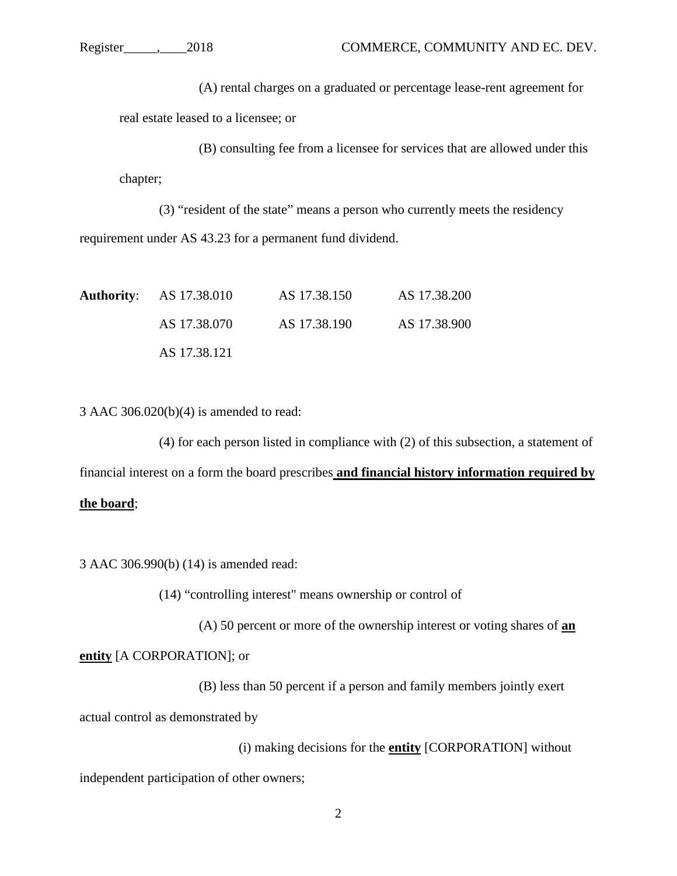(A) rental charges on a graduated or percentage lease-rent agreement for real estate leased to a licensee; or

(B) consulting fee from a licensee for services that are allowed under this chapter;

(3) "resident of the state" means a person who currently meets the residency requirement under AS 43.23 for a permanent fund dividend.

| <b>Authority:</b> AS 17.38.010 | AS 17.38.150 | AS 17.38.200 |
|--------------------------------|--------------|--------------|
| AS 17.38.070                   | AS 17.38.190 | AS 17.38.900 |
| AS 17.38.121                   |              |              |

3 AAC 306.020(b)(4) is amended to read:

(4) for each person listed in compliance with (2) of this subsection, a statement of financial interest on a form the board prescribes **and financial history information required by** 

## **the board**;

3 AAC 306.990(b) (14) is amended read:

(14) "controlling interest" means ownership or control of

(A) 50 percent or more of the ownership interest or voting shares of **an** 

**entity** [A CORPORATION]; or

(B) less than 50 percent if a person and family members jointly exert actual control as demonstrated by

(i) making decisions for the **entity** [CORPORATION] without

independent participation of other owners;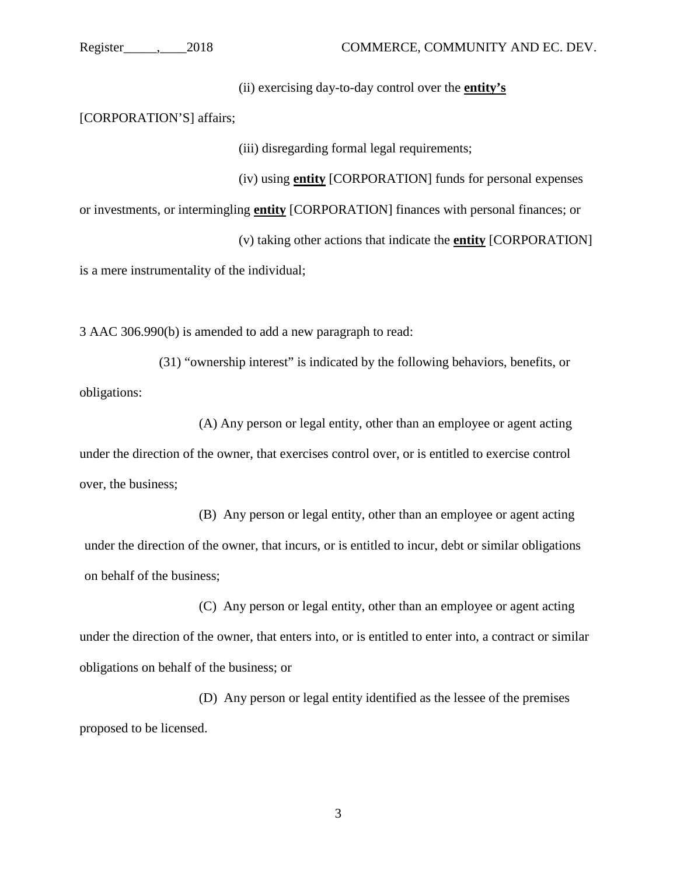(ii) exercising day-to-day control over the **entity's**

[CORPORATION'S] affairs;

(iii) disregarding formal legal requirements;

(iv) using **entity** [CORPORATION] funds for personal expenses

or investments, or intermingling **entity** [CORPORATION] finances with personal finances; or

(v) taking other actions that indicate the **entity** [CORPORATION]

is a mere instrumentality of the individual;

3 AAC 306.990(b) is amended to add a new paragraph to read:

(31) "ownership interest" is indicated by the following behaviors, benefits, or obligations:

(A) Any person or legal entity, other than an employee or agent acting under the direction of the owner, that exercises control over, or is entitled to exercise control over, the business;

(B) Any person or legal entity, other than an employee or agent acting under the direction of the owner, that incurs, or is entitled to incur, debt or similar obligations on behalf of the business;

(C) Any person or legal entity, other than an employee or agent acting under the direction of the owner, that enters into, or is entitled to enter into, a contract or similar obligations on behalf of the business; or

(D) Any person or legal entity identified as the lessee of the premises proposed to be licensed.

3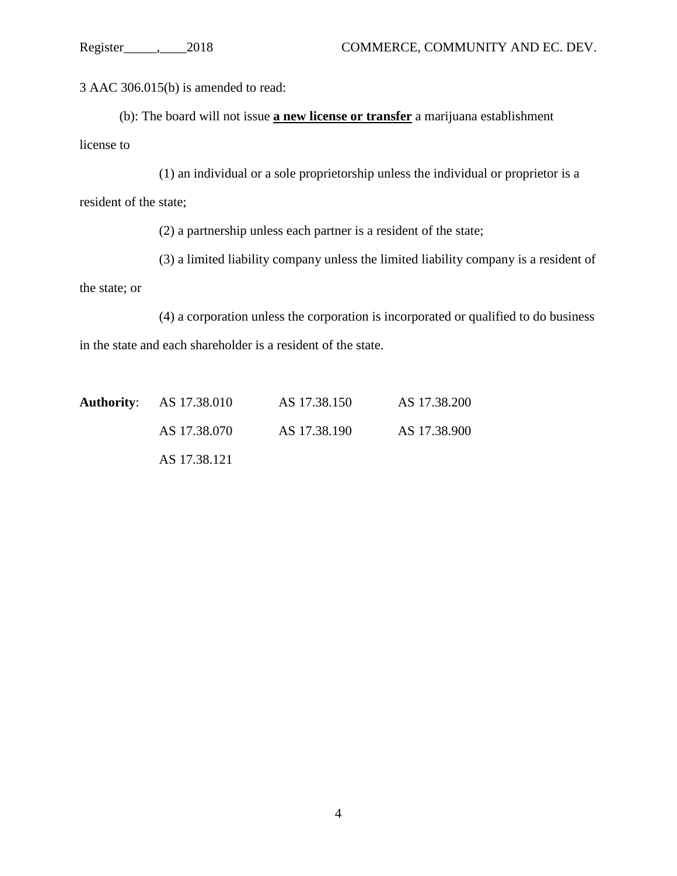3 AAC 306.015(b) is amended to read:

(b): The board will not issue **a new license or transfer** a marijuana establishment license to

(1) an individual or a sole proprietorship unless the individual or proprietor is a resident of the state;

(2) a partnership unless each partner is a resident of the state;

(3) a limited liability company unless the limited liability company is a resident of

the state; or

(4) a corporation unless the corporation is incorporated or qualified to do business in the state and each shareholder is a resident of the state.

| <b>Authority:</b> AS 17.38.010 | AS 17.38.150 | AS 17.38.200 |
|--------------------------------|--------------|--------------|
| AS 17.38.070                   | AS 17.38.190 | AS 17.38.900 |
| AS 17.38.121                   |              |              |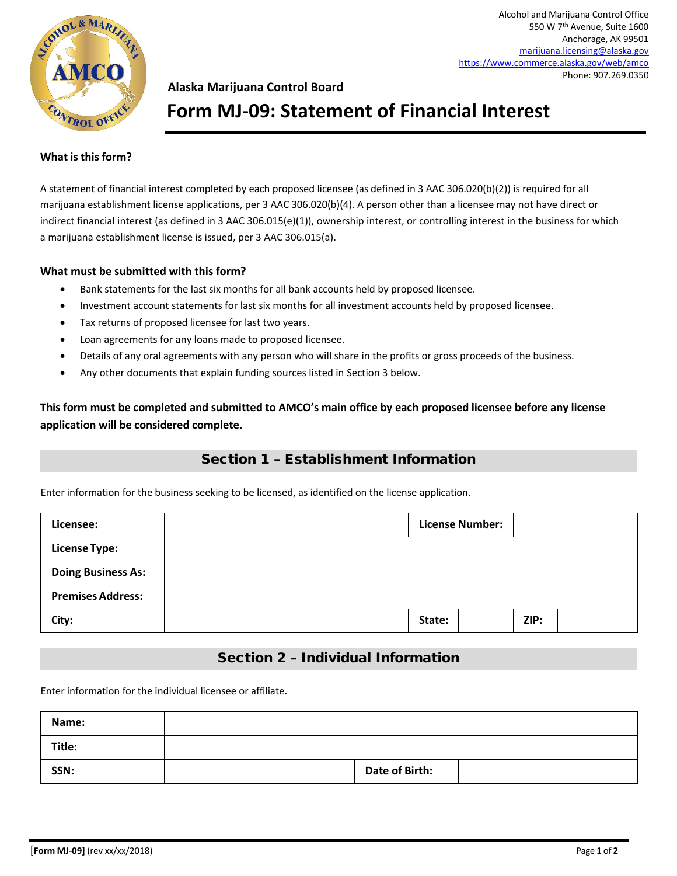

Alcohol and Marijuana Control Office 550 W 7th Avenue, Suite 1600 Anchorage, AK 99501 [marijuana.licensing@alaska.gov](mailto:marijuana.licensing@alaska.gov) <https://www.commerce.alaska.gov/web/amco> Phone: 907.269.0350

## **Alaska Marijuana Control Board**

# **Form MJ-09: Statement of Financial Interest**

#### **What isthisform?**

A statement of financial interest completed by each proposed licensee (as defined in 3 AAC 306.020(b)(2)) is required for all marijuana establishment license applications, per 3 AAC 306.020(b)(4). A person other than a licensee may not have direct or indirect financial interest (as defined in 3 AAC 306.015(e)(1)), ownership interest, or controlling interest in the business for which a marijuana establishment license is issued, per 3 AAC 306.015(a).

#### **What must be submitted with this form?**

- Bank statements for the last six months for all bank accounts held by proposed licensee.
- Investment account statements for last six months for all investment accounts held by proposed licensee.
- Tax returns of proposed licensee for last two years.
- Loan agreements for any loans made to proposed licensee.
- Details of any oral agreements with any person who will share in the profits or gross proceeds of the business.
- Any other documents that explain funding sources listed in Section 3 below.

**This form must be completed and submitted to AMCO's main office by each proposed licensee before any license application will be considered complete.**

## Section 1 – Establishment Information

Enter information for the business seeking to be licensed, as identified on the license application.

| Licensee:                 | <b>License Number:</b> |        |  |      |  |
|---------------------------|------------------------|--------|--|------|--|
| <b>License Type:</b>      |                        |        |  |      |  |
| <b>Doing Business As:</b> |                        |        |  |      |  |
| <b>Premises Address:</b>  |                        |        |  |      |  |
| City:                     |                        | State: |  | ZIP: |  |

## Section 2 – Individual Information

Enter information for the individual licensee or affiliate.

| Name:  |                       |  |
|--------|-----------------------|--|
| Title: |                       |  |
| SSN:   | <b>Date of Birth:</b> |  |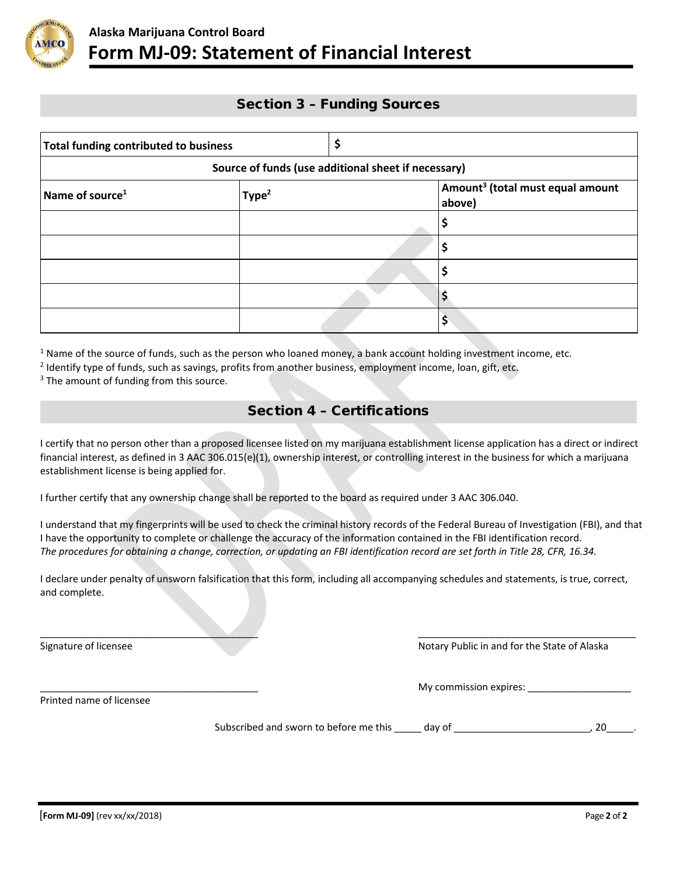

### Section 3 – Funding Sources

| <b>Total funding contributed to business</b> |                   |                                                     |  |                                                        |  |
|----------------------------------------------|-------------------|-----------------------------------------------------|--|--------------------------------------------------------|--|
|                                              |                   | Source of funds (use additional sheet if necessary) |  |                                                        |  |
| Name of source <sup>1</sup>                  | Type <sup>2</sup> |                                                     |  | Amount <sup>3</sup> (total must equal amount<br>above) |  |
|                                              |                   |                                                     |  |                                                        |  |
|                                              |                   |                                                     |  | \$                                                     |  |
|                                              |                   |                                                     |  | \$                                                     |  |
|                                              |                   |                                                     |  |                                                        |  |
|                                              |                   |                                                     |  | \$                                                     |  |

 $1$  Name of the source of funds, such as the person who loaned money, a bank account holding investment income, etc.

<sup>2</sup> Identify type of funds, such as savings, profits from another business, employment income, loan, gift, etc.

 $3$  The amount of funding from this source.

## Section 4 – Certifications

I certify that no person other than a proposed licensee listed on my marijuana establishment license application has a direct or indirect financial interest, as defined in 3 AAC 306.015(e)(1), ownership interest, or controlling interest in the business for which a marijuana establishment license is being applied for.

I further certify that any ownership change shall be reported to the board as required under 3 AAC 306.040.

I understand that my fingerprints will be used to check the criminal history records of the Federal Bureau of Investigation (FBI), and that I have the opportunity to complete or challenge the accuracy of the information contained in the FBI identification record. *The procedures for obtaining a change, correction, or updating an FBI identification record are set forth in Title 28, CFR, 16.34.*

I declare under penalty of unsworn falsification that this form, including all accompanying schedules and statements, is true, correct, and complete.

\_\_\_\_\_\_\_\_\_\_\_\_\_\_\_\_\_\_\_\_\_\_\_\_\_\_\_\_\_\_\_\_\_\_\_\_\_\_\_\_ \_\_\_\_\_\_\_\_\_\_\_\_\_\_\_\_\_\_\_\_\_\_\_\_\_\_\_\_\_\_\_\_\_\_\_\_\_\_\_\_

Signature of licensee Notary Public in and for the State of Alaska

\_\_\_\_\_\_\_\_\_\_\_\_\_\_\_\_\_\_\_\_\_\_\_\_\_\_\_\_\_\_\_\_\_\_\_\_\_\_\_\_ My commission expires: \_\_\_\_\_\_\_\_\_\_\_\_\_\_\_\_\_\_\_

Printed name of licensee

Subscribed and sworn to before me this \_\_\_\_\_ day of \_\_\_\_\_\_\_\_\_\_\_\_\_\_\_\_\_\_\_\_\_\_\_\_\_\_\_, 20\_\_\_\_\_.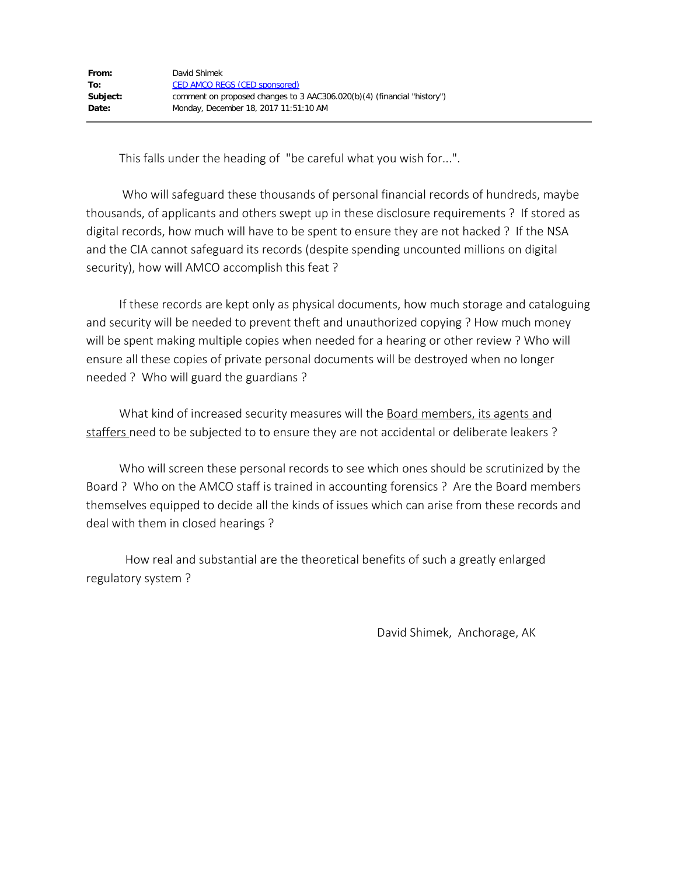This falls under the heading of "be careful what you wish for...".

Who will safeguard these thousands of personal financial records of hundreds, maybe thousands, of applicants and others swept up in these disclosure requirements ? If stored as digital records, how much will have to be spent to ensure they are not hacked ? If the NSA and the CIA cannot safeguard its records (despite spending uncounted millions on digital security), how will AMCO accomplish this feat ?

 If these records are kept only as physical documents, how much storage and cataloguing and security will be needed to prevent theft and unauthorized copying ? How much money will be spent making multiple copies when needed for a hearing or other review ? Who will ensure all these copies of private personal documents will be destroyed when no longer needed ? Who will guard the guardians ?

What kind of increased security measures will the Board members, its agents and staffers need to be subjected to to ensure they are not accidental or deliberate leakers ?

 Who will screen these personal records to see which ones should be scrutinized by the Board ? Who on the AMCO staff is trained in accounting forensics ? Are the Board members themselves equipped to decide all the kinds of issues which can arise from these records and deal with them in closed hearings ?

 How real and substantial are the theoretical benefits of such a greatly enlarged regulatory system ?

David Shimek, Anchorage, AK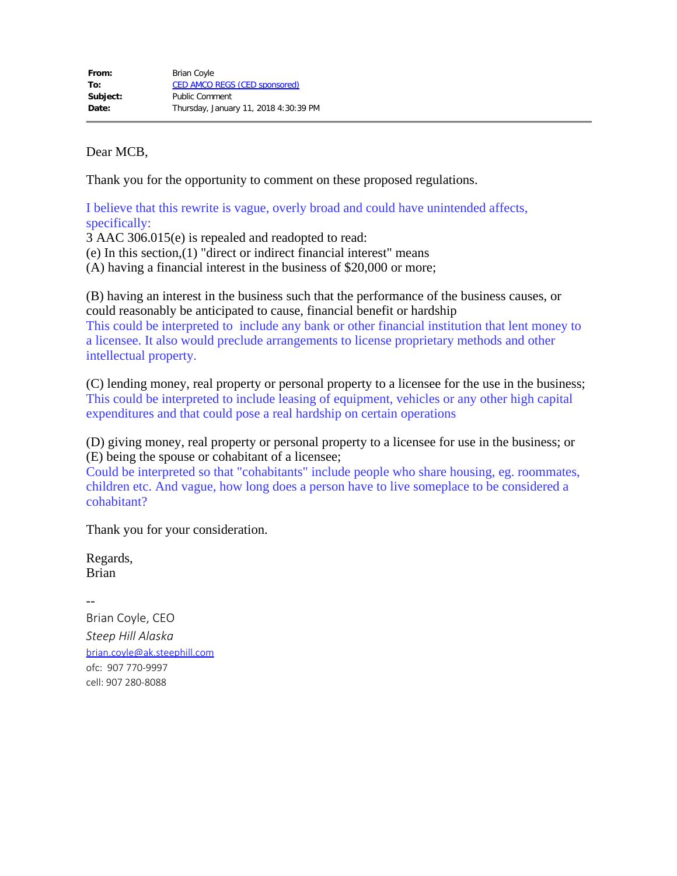Dear MCB,

Thank you for the opportunity to comment on these proposed regulations.

I believe that this rewrite is vague, overly broad and could have unintended affects, specifically:

3 AAC 306.015(e) is repealed and readopted to read: (e) In this section,(1) "direct or indirect financial interest" means (A) having a financial interest in the business of \$20,000 or more;

(B) having an interest in the business such that the performance of the business causes, or could reasonably be anticipated to cause, financial benefit or hardship This could be interpreted to include any bank or other financial institution that lent money to a licensee. It also would preclude arrangements to license proprietary methods and other intellectual property.

(C) lending money, real property or personal property to a licensee for the use in the business; This could be interpreted to include leasing of equipment, vehicles or any other high capital expenditures and that could pose a real hardship on certain operations

(D) giving money, real property or personal property to a licensee for use in the business; or (E) being the spouse or cohabitant of a licensee;

Could be interpreted so that "cohabitants" include people who share housing, eg. roommates, children etc. And vague, how long does a person have to live someplace to be considered a cohabitant?

Thank you for your consideration.

Regards, Brian

-- Brian Coyle, CEO *Steep Hill Alaska* [brian.coyle@ak.steephill.com](mailto:brian.coyle@ak.steephill.com) ofc: 907 770-9997 cell: 907 280-8088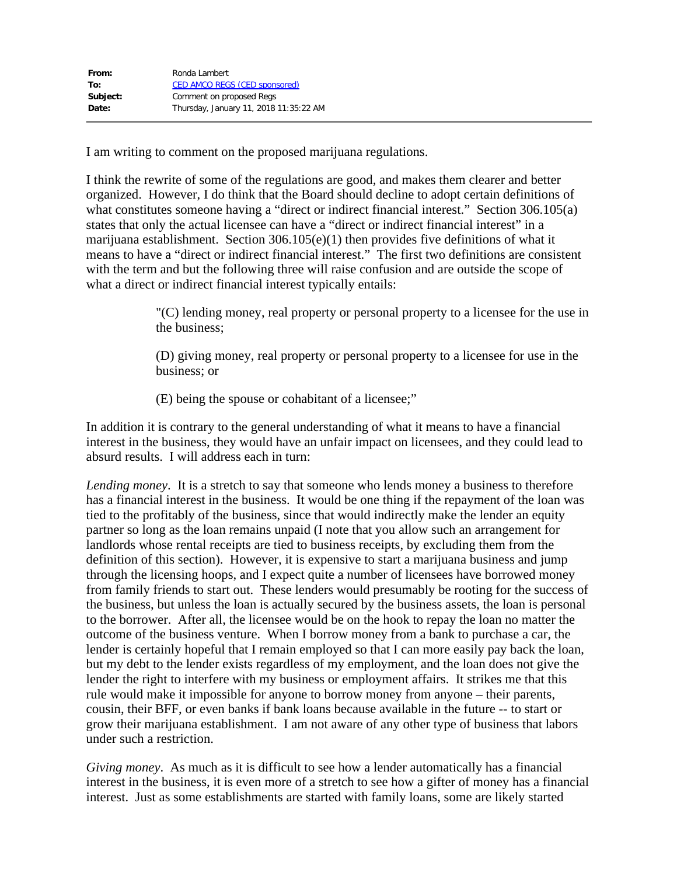I am writing to comment on the proposed marijuana regulations.

I think the rewrite of some of the regulations are good, and makes them clearer and better organized. However, I do think that the Board should decline to adopt certain definitions of what constitutes someone having a "direct or indirect financial interest." Section 306.105(a) states that only the actual licensee can have a "direct or indirect financial interest" in a marijuana establishment. Section 306.105(e)(1) then provides five definitions of what it means to have a "direct or indirect financial interest." The first two definitions are consistent with the term and but the following three will raise confusion and are outside the scope of what a direct or indirect financial interest typically entails:

> "(C) lending money, real property or personal property to a licensee for the use in the business;

(D) giving money, real property or personal property to a licensee for use in the business; or

(E) being the spouse or cohabitant of a licensee;"

In addition it is contrary to the general understanding of what it means to have a financial interest in the business, they would have an unfair impact on licensees, and they could lead to absurd results. I will address each in turn:

*Lending money*. It is a stretch to say that someone who lends money a business to therefore has a financial interest in the business. It would be one thing if the repayment of the loan was tied to the profitably of the business, since that would indirectly make the lender an equity partner so long as the loan remains unpaid (I note that you allow such an arrangement for landlords whose rental receipts are tied to business receipts, by excluding them from the definition of this section). However, it is expensive to start a marijuana business and jump through the licensing hoops, and I expect quite a number of licensees have borrowed money from family friends to start out. These lenders would presumably be rooting for the success of the business, but unless the loan is actually secured by the business assets, the loan is personal to the borrower. After all, the licensee would be on the hook to repay the loan no matter the outcome of the business venture. When I borrow money from a bank to purchase a car, the lender is certainly hopeful that I remain employed so that I can more easily pay back the loan, but my debt to the lender exists regardless of my employment, and the loan does not give the lender the right to interfere with my business or employment affairs. It strikes me that this rule would make it impossible for anyone to borrow money from anyone – their parents, cousin, their BFF, or even banks if bank loans because available in the future -- to start or grow their marijuana establishment. I am not aware of any other type of business that labors under such a restriction.

*Giving money*. As much as it is difficult to see how a lender automatically has a financial interest in the business, it is even more of a stretch to see how a gifter of money has a financial interest. Just as some establishments are started with family loans, some are likely started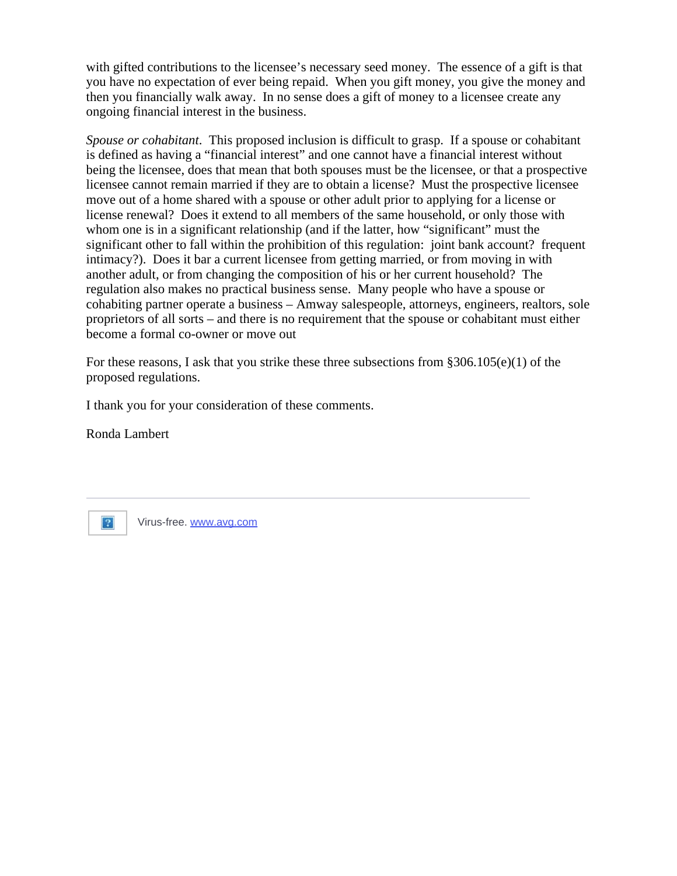with gifted contributions to the licensee's necessary seed money. The essence of a gift is that you have no expectation of ever being repaid. When you gift money, you give the money and then you financially walk away. In no sense does a gift of money to a licensee create any ongoing financial interest in the business.

*Spouse or cohabitant*. This proposed inclusion is difficult to grasp. If a spouse or cohabitant is defined as having a "financial interest" and one cannot have a financial interest without being the licensee, does that mean that both spouses must be the licensee, or that a prospective licensee cannot remain married if they are to obtain a license? Must the prospective licensee move out of a home shared with a spouse or other adult prior to applying for a license or license renewal? Does it extend to all members of the same household, or only those with whom one is in a significant relationship (and if the latter, how "significant" must the significant other to fall within the prohibition of this regulation: joint bank account? frequent intimacy?). Does it bar a current licensee from getting married, or from moving in with another adult, or from changing the composition of his or her current household? The regulation also makes no practical business sense. Many people who have a spouse or cohabiting partner operate a business – Amway salespeople, attorneys, engineers, realtors, sole proprietors of all sorts – and there is no requirement that the spouse or cohabitant must either become a formal co-owner or move out

For these reasons, I ask that you strike these three subsections from  $\S 306.105(e)(1)$  of the proposed regulations.

I thank you for your consideration of these comments.

Ronda Lambert



Virus-free. [www.avg.com](http://www.avg.com/email-signature?utm_medium=email&utm_source=link&utm_campaign=sig-email&utm_content=webmail)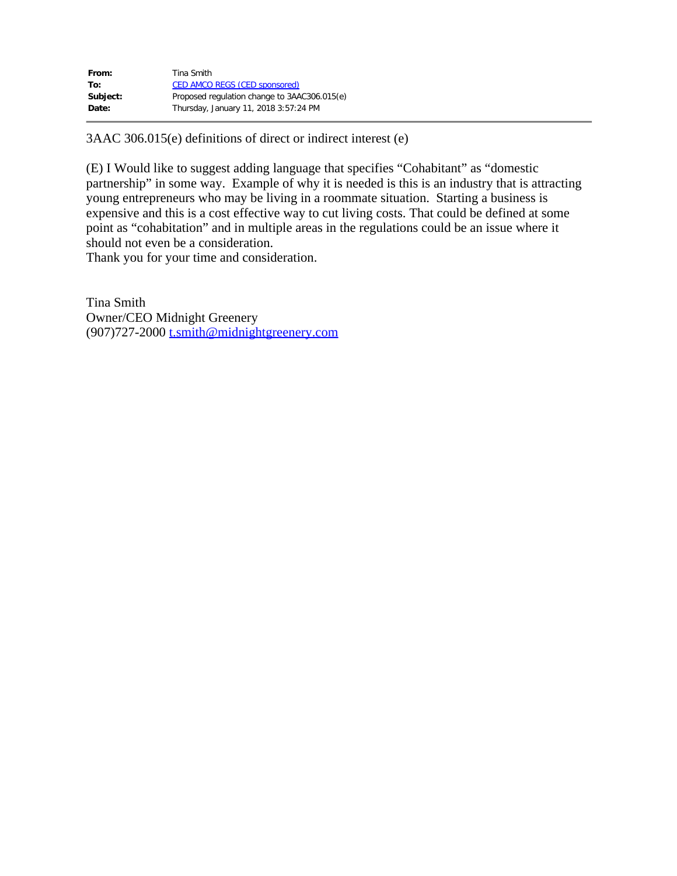| From:    | Tina Smith                                   |
|----------|----------------------------------------------|
| To:      | <b>CED AMCO REGS (CED sponsored)</b>         |
| Subject: | Proposed regulation change to 3AAC306.015(e) |
| Date:    | Thursday, January 11, 2018 3:57:24 PM        |

3AAC 306.015(e) definitions of direct or indirect interest (e)

(E) I Would like to suggest adding language that specifies "Cohabitant" as "domestic partnership" in some way. Example of why it is needed is this is an industry that is attracting young entrepreneurs who may be living in a roommate situation. Starting a business is expensive and this is a cost effective way to cut living costs. That could be defined at some point as "cohabitation" and in multiple areas in the regulations could be an issue where it should not even be a consideration.

Thank you for your time and consideration.

Tina Smith Owner/CEO Midnight Greenery (907)727-2000 [t.smith@midnightgreenery.com](mailto:t.smith@midnightgreenery.com)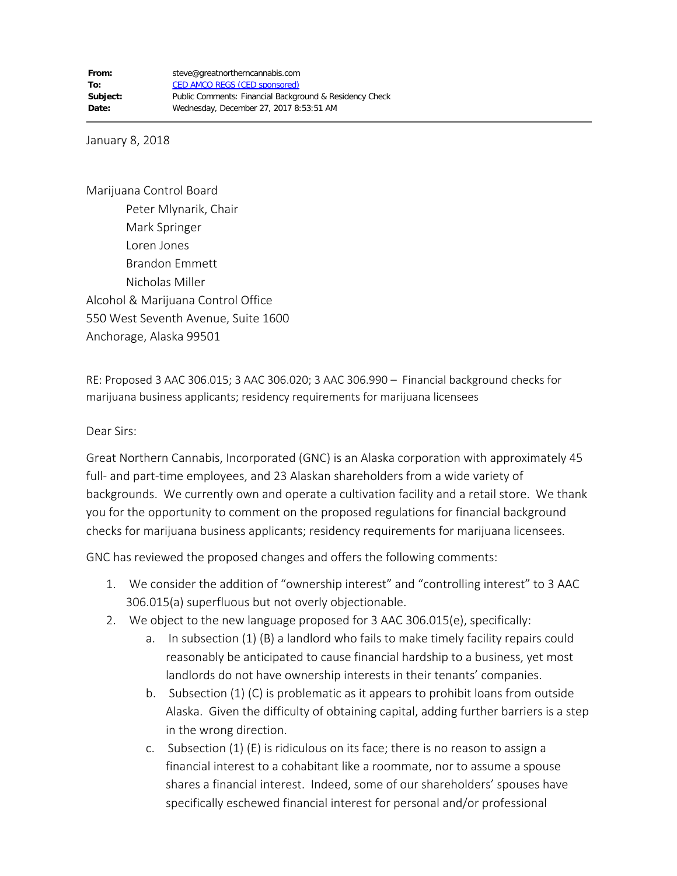January 8, 2018

Marijuana Control Board Peter Mlynarik, Chair Mark Springer Loren Jones Brandon Emmett Nicholas Miller Alcohol & Marijuana Control Office 550 West Seventh Avenue, Suite 1600 Anchorage, Alaska 99501

RE: Proposed 3 AAC 306.015; 3 AAC 306.020; 3 AAC 306.990 – Financial background checks for marijuana business applicants; residency requirements for marijuana licensees

Dear Sirs:

Great Northern Cannabis, Incorporated (GNC) is an Alaska corporation with approximately 45 full- and part-time employees, and 23 Alaskan shareholders from a wide variety of backgrounds. We currently own and operate a cultivation facility and a retail store. We thank you for the opportunity to comment on the proposed regulations for financial background checks for marijuana business applicants; residency requirements for marijuana licensees.

GNC has reviewed the proposed changes and offers the following comments:

- 1. We consider the addition of "ownership interest" and "controlling interest" to 3 AAC 306.015(a) superfluous but not overly objectionable.
- 2. We object to the new language proposed for 3 AAC 306.015(e), specifically:
	- a. In subsection (1) (B) a landlord who fails to make timely facility repairs could reasonably be anticipated to cause financial hardship to a business, yet most landlords do not have ownership interests in their tenants' companies.
	- b. Subsection (1) (C) is problematic as it appears to prohibit loans from outside Alaska. Given the difficulty of obtaining capital, adding further barriers is a step in the wrong direction.
	- c. Subsection (1) (E) is ridiculous on its face; there is no reason to assign a financial interest to a cohabitant like a roommate, nor to assume a spouse shares a financial interest. Indeed, some of our shareholders' spouses have specifically eschewed financial interest for personal and/or professional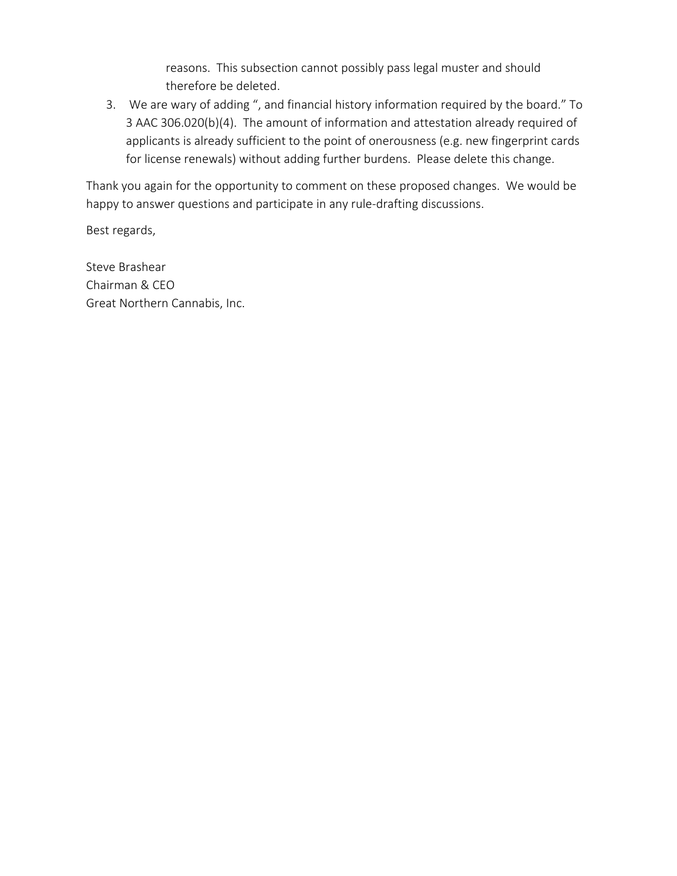reasons. This subsection cannot possibly pass legal muster and should therefore be deleted.

3. We are wary of adding ", and financial history information required by the board." To 3 AAC 306.020(b)(4). The amount of information and attestation already required of applicants is already sufficient to the point of onerousness (e.g. new fingerprint cards for license renewals) without adding further burdens. Please delete this change.

Thank you again for the opportunity to comment on these proposed changes. We would be happy to answer questions and participate in any rule-drafting discussions.

Best regards,

Steve Brashear Chairman & CEO Great Northern Cannabis, Inc.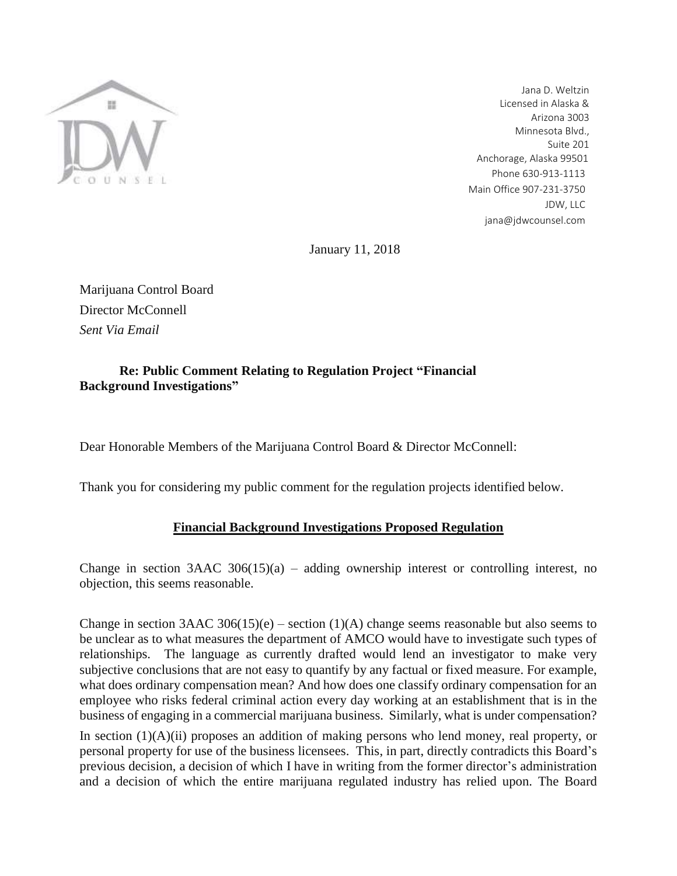

Jana D. Weltzin Licensed in Alaska & Arizona 3003 Minnesota Blvd., Suite 201 Anchorage, Alaska 99501 Phone 630-913-1113 Main Office 907-231-3750 JDW, LLC [jana@jdwcounsel.com](mailto:jana@jdwcounsel.com)

January 11, 2018

Marijuana Control Board Director McConnell *Sent Via Email*

## **Re: Public Comment Relating to Regulation Project "Financial Background Investigations"**

Dear Honorable Members of the Marijuana Control Board & Director McConnell:

Thank you for considering my public comment for the regulation projects identified below.

## **Financial Background Investigations Proposed Regulation**

Change in section  $3AAC 306(15)(a)$  – adding ownership interest or controlling interest, no objection, this seems reasonable.

Change in section 3AAC 306(15)(e) – section (1)(A) change seems reasonable but also seems to be unclear as to what measures the department of AMCO would have to investigate such types of relationships. The language as currently drafted would lend an investigator to make very subjective conclusions that are not easy to quantify by any factual or fixed measure. For example, what does ordinary compensation mean? And how does one classify ordinary compensation for an employee who risks federal criminal action every day working at an establishment that is in the business of engaging in a commercial marijuana business. Similarly, what is under compensation?

In section  $(1)(A)(ii)$  proposes an addition of making persons who lend money, real property, or personal property for use of the business licensees. This, in part, directly contradicts this Board's previous decision, a decision of which I have in writing from the former director's administration and a decision of which the entire marijuana regulated industry has relied upon. The Board